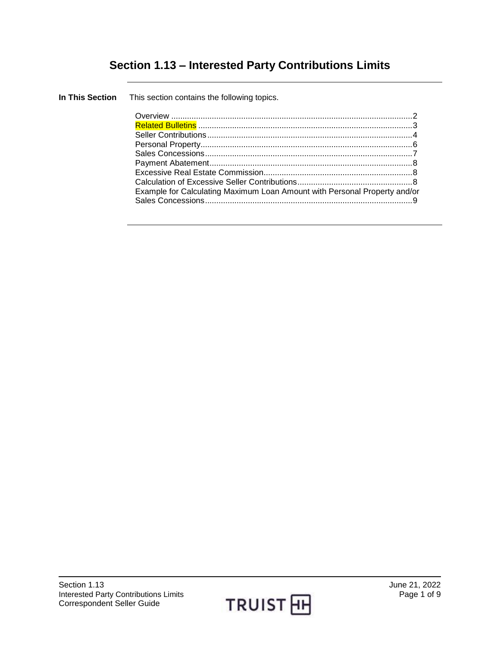# **Section 1.13 – Interested Party Contributions Limits**

**In This Section** This section contains the following topics.

| Example for Calculating Maximum Loan Amount with Personal Property and/or |  |
|---------------------------------------------------------------------------|--|
|                                                                           |  |
|                                                                           |  |

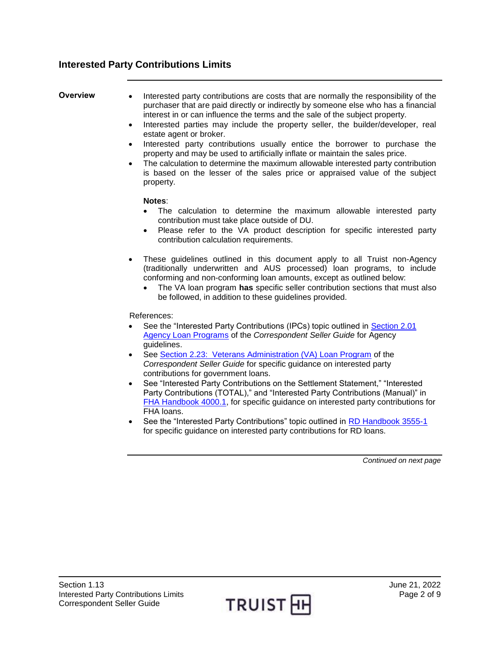## **Interested Party Contributions Limits**

- <span id="page-1-0"></span>**Overview •** Interested party contributions are costs that are normally the responsibility of the purchaser that are paid directly or indirectly by someone else who has a financial interest in or can influence the terms and the sale of the subject property.
	- Interested parties may include the property seller, the builder/developer, real estate agent or broker.
	- Interested party contributions usually entice the borrower to purchase the property and may be used to artificially inflate or maintain the sales price.
	- The calculation to determine the maximum allowable interested party contribution is based on the lesser of the sales price or appraised value of the subject property.

#### **Notes**:

- The calculation to determine the maximum allowable interested party contribution must take place outside of DU.
- Please refer to the VA product description for specific interested party contribution calculation requirements.
- These guidelines outlined in this document apply to all Truist non-Agency (traditionally underwritten and AUS processed) loan programs, to include conforming and non-conforming loan amounts, except as outlined below:
	- The VA loan program **has** specific seller contribution sections that must also be followed, in addition to these guidelines provided.

#### References:

- See the "Interested Party Contributions (IPCs) topic outlined in [Section 2.01](https://truistsellerguide.com/manual/cor/products/cagency.pdf)  [Agency Loan Programs](https://truistsellerguide.com/manual/cor/products/cagency.pdf) of the *Correspondent Seller Guide* for Agency guidelines.
- See [Section 2.23: Veterans Administration \(VA\) Loan Program](https://truistsellerguide.com/manual/cor/products/CVA.pdf) of the *Correspondent Seller Guide* for specific guidance on interested party contributions for government loans.
- See "Interested Party Contributions on the Settlement Statement," "Interested Party Contributions (TOTAL)," and "Interested Party Contributions (Manual)" in [FHA Handbook 4000.1,](http://portal.hud.gov/hudportal/documents/huddoc?id=40001HSGH.pdf) for specific guidance on interested party contributions for FHA loans.
- See the "Interested Party Contributions" topic outlined in [RD Handbook 3555-1](https://www.rd.usda.gov/resources/directives/handbooks) for specific guidance on interested party contributions for RD loans.

*Continued on next page*

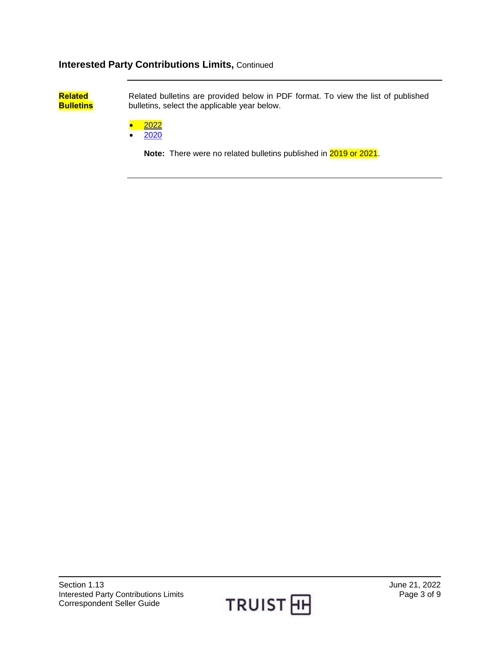<span id="page-2-0"></span>**Related Bulletins** Related bulletins are provided below in PDF format. To view the list of published bulletins, select the applicable year below.

- $\bullet$  [2022](https://www.truistsellerguide.com/manual/cor/bulletins/related%20bulletins/2022/CIPC2022.PDF)
- $\bullet$  [2020](https://truistsellerguide.com/manual/cor/bulletins/related%20bulletins/2020/CIPC2020.PDF)

**Note:** There were no related bulletins published in 2019 or 2021.

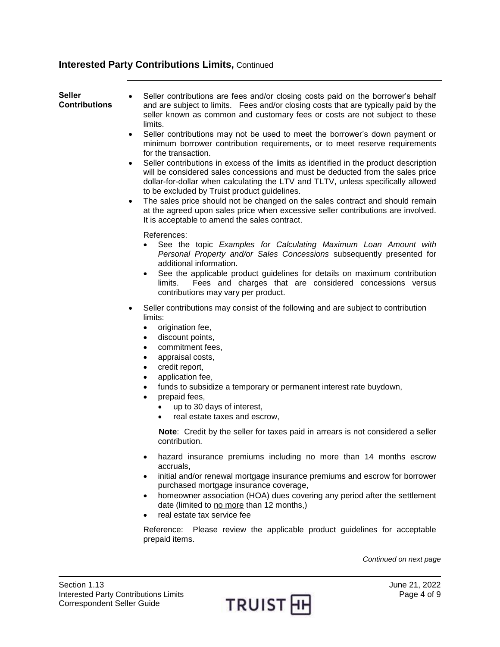### <span id="page-3-0"></span>**Seller Contributions** Seller contributions are fees and/or closing costs paid on the borrower's behalf and are subject to limits. Fees and/or closing costs that are typically paid by the seller known as common and customary fees or costs are not subject to these limits. Seller contributions may not be used to meet the borrower's down payment or minimum borrower contribution requirements, or to meet reserve requirements for the transaction. Seller contributions in excess of the limits as identified in the product description will be considered sales concessions and must be deducted from the sales price dollar-for-dollar when calculating the LTV and TLTV, unless specifically allowed to be excluded by Truist product guidelines. The sales price should not be changed on the sales contract and should remain at the agreed upon sales price when excessive seller contributions are involved. It is acceptable to amend the sales contract. References: See the topic *Examples for Calculating Maximum Loan Amount with Personal Property and/or Sales Concessions* subsequently presented for additional information. See the applicable product guidelines for details on maximum contribution limits. Fees and charges that are considered concessions versus contributions may vary per product. Seller contributions may consist of the following and are subject to contribution limits: origination fee, discount points, commitment fees, • appraisal costs, • credit report, application fee, funds to subsidize a temporary or permanent interest rate buydown, prepaid fees, up to 30 days of interest, real estate taxes and escrow, **Note**: Credit by the seller for taxes paid in arrears is not considered a seller contribution. hazard insurance premiums including no more than 14 months escrow accruals, • initial and/or renewal mortgage insurance premiums and escrow for borrower purchased mortgage insurance coverage, • homeowner association (HOA) dues covering any period after the settlement date (limited to no more than 12 months,) real estate tax service fee Reference: Please review the applicable product guidelines for acceptable prepaid items. *Continued on next page*

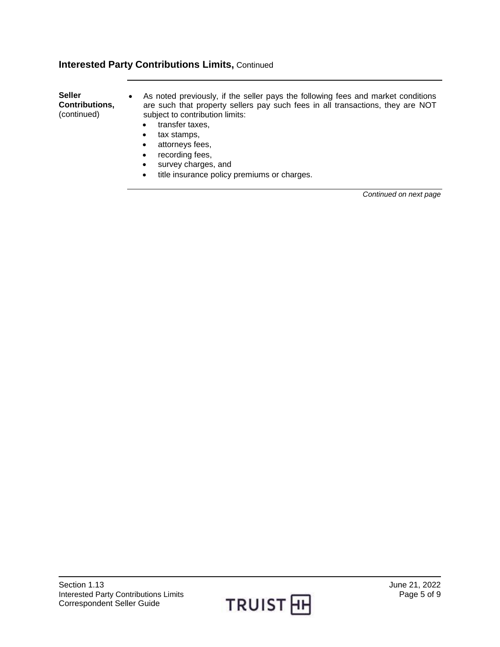• recording fees, • survey charges, and

| <b>Seller</b><br>Contributions,<br>(continued) | As noted previously, if the seller pays the following fees and market conditions<br>are such that property sellers pay such fees in all transactions, they are NOT<br>subject to contribution limits:<br>transfer taxes, |
|------------------------------------------------|--------------------------------------------------------------------------------------------------------------------------------------------------------------------------------------------------------------------------|
|                                                | tax stamps,                                                                                                                                                                                                              |
|                                                | attorneys fees,                                                                                                                                                                                                          |

 $\bullet$  title insurance policy premiums or charges.

Section 1.13 June 21, 2022<br>Interested Party Contributions Limits **Contributions Contributions Contributions** Limits Interested Party Contributions Limits Correspondent Seller Guide



*Continued on next page*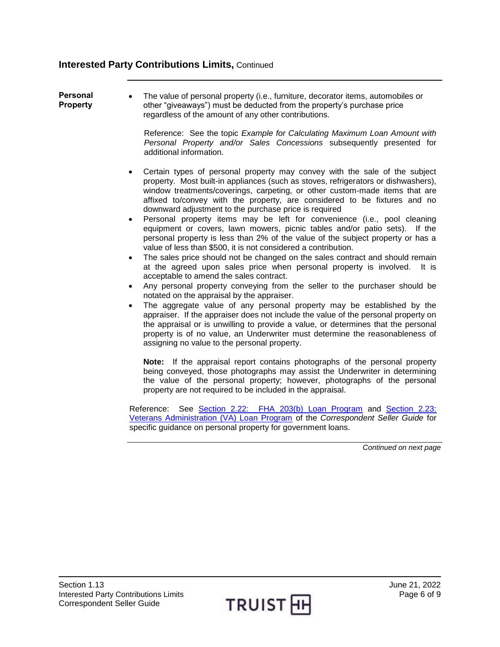#### <span id="page-5-0"></span>**Personal Property**

 The value of personal property (i.e., furniture, decorator items, automobiles or other "giveaways") must be deducted from the property's purchase price regardless of the amount of any other contributions.

Reference: See the topic *Example for Calculating Maximum Loan Amount with Personal Property and/or Sales Concessions* subsequently presented for additional information.

- Certain types of personal property may convey with the sale of the subject property. Most built-in appliances (such as stoves, refrigerators or dishwashers), window treatments/coverings, carpeting, or other custom-made items that are affixed to/convey with the property, are considered to be fixtures and no downward adjustment to the purchase price is required
- Personal property items may be left for convenience (i.e., pool cleaning equipment or covers, lawn mowers, picnic tables and/or patio sets). If the personal property is less than 2% of the value of the subject property or has a value of less than \$500, it is not considered a contribution.
- The sales price should not be changed on the sales contract and should remain at the agreed upon sales price when personal property is involved. It is acceptable to amend the sales contract.
- Any personal property conveying from the seller to the purchaser should be notated on the appraisal by the appraiser.
- The aggregate value of any personal property may be established by the appraiser. If the appraiser does not include the value of the personal property on the appraisal or is unwilling to provide a value, or determines that the personal property is of no value, an Underwriter must determine the reasonableness of assigning no value to the personal property.

**Note:** If the appraisal report contains photographs of the personal property being conveyed, those photographs may assist the Underwriter in determining the value of the personal property; however, photographs of the personal property are not required to be included in the appraisal.

Reference: See [Section 2.22: FHA 203\(b\) Loan Program](https://truistsellerguide.com/manual/cor/products/CFHA.pdf) and Section 2.23: [Veterans Administration \(VA\) Loan Program](https://truistsellerguide.com/manual/cor/products/CVA.pdf) of the *Correspondent Seller Guide* for specific guidance on personal property for government loans.

*Continued on next page*

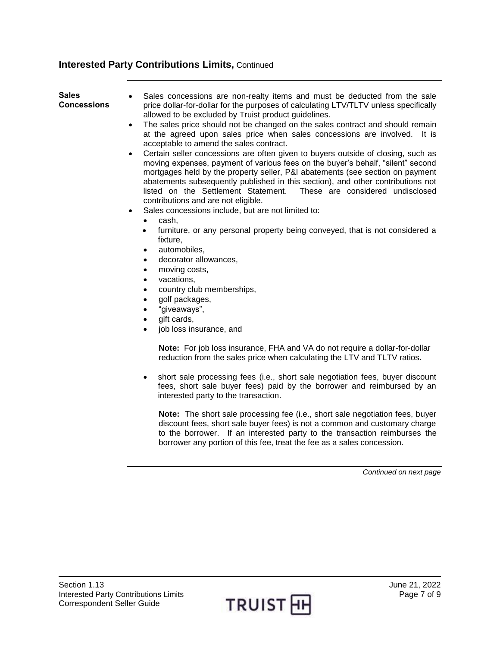<span id="page-6-0"></span>

| <b>Sales</b><br><b>Concessions</b> | Sales concessions are non-realty items and must be deducted from the sale<br>price dollar-for-dollar for the purposes of calculating LTV/TLTV unless specifically<br>allowed to be excluded by Truist product guidelines.<br>The sales price should not be changed on the sales contract and should remain<br>$\bullet$<br>at the agreed upon sales price when sales concessions are involved. It is<br>acceptable to amend the sales contract.                                                                                                                                                                                                                                               |
|------------------------------------|-----------------------------------------------------------------------------------------------------------------------------------------------------------------------------------------------------------------------------------------------------------------------------------------------------------------------------------------------------------------------------------------------------------------------------------------------------------------------------------------------------------------------------------------------------------------------------------------------------------------------------------------------------------------------------------------------|
|                                    | Certain seller concessions are often given to buyers outside of closing, such as<br>moving expenses, payment of various fees on the buyer's behalf, "silent" second<br>mortgages held by the property seller, P&I abatements (see section on payment<br>abatements subsequently published in this section), and other contributions not<br>listed on the Settlement Statement. These are considered undisclosed<br>contributions and are not eligible.                                                                                                                                                                                                                                        |
|                                    | Sales concessions include, but are not limited to:<br>$\bullet$<br>cash,<br>$\bullet$<br>furniture, or any personal property being conveyed, that is not considered a<br>$\bullet$<br>fixture,<br>automobiles,<br>$\bullet$<br>decorator allowances,<br>$\bullet$<br>moving costs,<br>$\bullet$<br>vacations,<br>$\bullet$<br>country club memberships,<br>$\bullet$<br>golf packages,<br>$\bullet$<br>"giveaways",<br>$\bullet$<br>gift cards,<br>$\bullet$<br>job loss insurance, and<br>$\bullet$                                                                                                                                                                                          |
|                                    | Note: For job loss insurance, FHA and VA do not require a dollar-for-dollar<br>reduction from the sales price when calculating the LTV and TLTV ratios.<br>short sale processing fees (i.e., short sale negotiation fees, buyer discount<br>$\bullet$<br>fees, short sale buyer fees) paid by the borrower and reimbursed by an<br>interested party to the transaction.<br>Note: The short sale processing fee (i.e., short sale negotiation fees, buyer<br>discount fees, short sale buyer fees) is not a common and customary charge<br>to the borrower. If an interested party to the transaction reimburses the<br>borrower any portion of this fee, treat the fee as a sales concession. |

*Continued on next page*

 $\overline{\phantom{a}}$ 

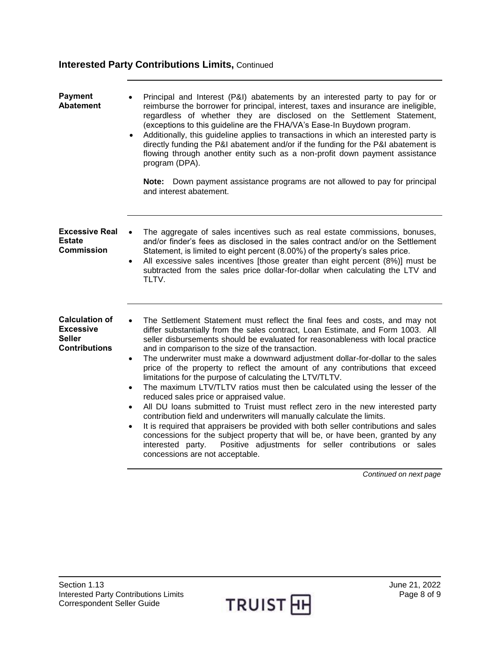<span id="page-7-2"></span><span id="page-7-1"></span><span id="page-7-0"></span>

| <b>Payment</b><br><b>Abatement</b>                                          | Principal and Interest (P&I) abatements by an interested party to pay for or<br>reimburse the borrower for principal, interest, taxes and insurance are ineligible,<br>regardless of whether they are disclosed on the Settlement Statement,<br>(exceptions to this guideline are the FHA/VA's Ease-In Buydown program.<br>Additionally, this guideline applies to transactions in which an interested party is<br>$\bullet$<br>directly funding the P&I abatement and/or if the funding for the P&I abatement is<br>flowing through another entity such as a non-profit down payment assistance<br>program (DPA).<br>Note: Down payment assistance programs are not allowed to pay for principal<br>and interest abatement.                                                                                                                                                                                                                                                                                                                                                                                                                                                                                       |
|-----------------------------------------------------------------------------|--------------------------------------------------------------------------------------------------------------------------------------------------------------------------------------------------------------------------------------------------------------------------------------------------------------------------------------------------------------------------------------------------------------------------------------------------------------------------------------------------------------------------------------------------------------------------------------------------------------------------------------------------------------------------------------------------------------------------------------------------------------------------------------------------------------------------------------------------------------------------------------------------------------------------------------------------------------------------------------------------------------------------------------------------------------------------------------------------------------------------------------------------------------------------------------------------------------------|
| <b>Excessive Real</b><br>Estate<br>Commission                               | The aggregate of sales incentives such as real estate commissions, bonuses,<br>and/or finder's fees as disclosed in the sales contract and/or on the Settlement<br>Statement, is limited to eight percent (8.00%) of the property's sales price.<br>All excessive sales incentives [those greater than eight percent (8%)] must be<br>$\bullet$<br>subtracted from the sales price dollar-for-dollar when calculating the LTV and<br>TLTV.                                                                                                                                                                                                                                                                                                                                                                                                                                                                                                                                                                                                                                                                                                                                                                         |
| <b>Calculation of</b><br><b>Excessive</b><br>Seller<br><b>Contributions</b> | The Settlement Statement must reflect the final fees and costs, and may not<br>$\bullet$<br>differ substantially from the sales contract, Loan Estimate, and Form 1003. All<br>seller disbursements should be evaluated for reasonableness with local practice<br>and in comparison to the size of the transaction.<br>The underwriter must make a downward adjustment dollar-for-dollar to the sales<br>$\bullet$<br>price of the property to reflect the amount of any contributions that exceed<br>limitations for the purpose of calculating the LTV/TLTV.<br>The maximum LTV/TLTV ratios must then be calculated using the lesser of the<br>$\bullet$<br>reduced sales price or appraised value.<br>All DU loans submitted to Truist must reflect zero in the new interested party<br>$\bullet$<br>contribution field and underwriters will manually calculate the limits.<br>It is required that appraisers be provided with both seller contributions and sales<br>$\bullet$<br>concessions for the subject property that will be, or have been, granted by any<br>Positive adjustments for seller contributions or sales<br>interested party.<br>concessions are not acceptable.<br>Continued on next page |